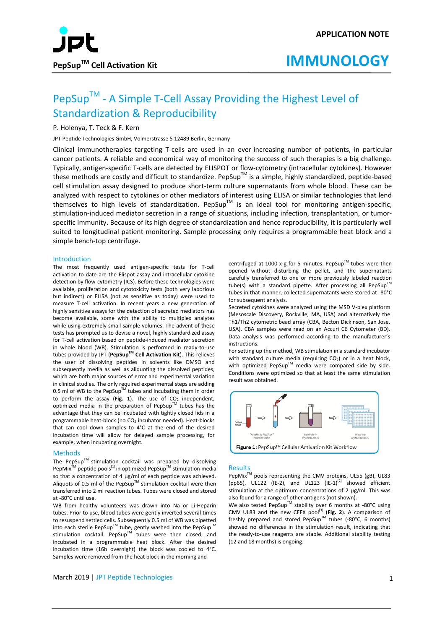

## PepSup™ - A Simple T-Cell Assay Providing the Highest Level of Standardization & Reproducibility

#### P. Holenya, T. Teck & F. Kern

JPT Peptide Technologies GmbH, Volmerstrasse 5 12489 Berlin, Germany

Clinical immunotherapies targeting T-cells are used in an ever-increasing number of patients, in particular cancer patients. A reliable and economical way of monitoring the success of such therapies is a big challenge. Typically, antigen-specific T-cells are detected by ELISPOT or flow-cytometry (intracellular cytokines). However these methods are costly and difficult to standardize. PepSup<sup>TM</sup> is a simple, highly standardized, peptide-based cell stimulation assay designed to produce short-term culture supernatants from whole blood. These can be analyzed with respect to cytokines or other mediators of interest using ELISA or similar technologies that lend themselves to high levels of standardization. PepSup™ is an ideal tool for monitoring antigen-specific, stimulation-induced mediator secretion in a range of situations, including infection, transplantation, or tumorspecific immunity. Because of its high degree of standardization and hence reproducibility, it is particularly well suited to longitudinal patient monitoring. Sample processing only requires a programmable heat block and a simple bench-top centrifuge.

#### Introduction

The most frequently used antigen-specific tests for T-cell activation to date are the Elispot assay and intracellular cytokine detection by flow-cytometry (ICS). Before these technologies were available, proliferation and cytotoxicity tests (both very laborious but indirect) or ELISA (not as sensitive as today) were used to measure T-cell activation. In recent years a new generation of highly sensitive assays for the detection of secreted mediators has become available, some with the ability to multiplex analytes while using extremely small sample volumes. The advent of these tests has prompted us to devise a novel, highly standardized assay for T-cell activation based on peptide-induced mediator secretion in whole blood (WB). Stimulation is performed in ready-to-use tubes provided by JPT (**PepSupTM Cell Activation Kit**). This relieves the user of dissolving peptides in solvents like DMSO and subsequently media as well as aliquoting the dissolved peptides, which are both major sources of error and experimental variation in clinical studies. The only required experimental steps are adding 0.5 ml of WB to the PepSup<sup>TM</sup> tubes and incubating them in order to perform the assay (Fig.  $1$ ). The use of  $CO<sub>2</sub>$  independent, optimized media in the preparation of PepSupTM tubes has the advantage that they can be incubated with tightly closed lids in a programmable heat-block (no  $CO<sub>2</sub>$  incubator needed). Heat-blocks that can cool down samples to 4°C at the end of the desired incubation time will allow for delayed sample processing, for example, when incubating overnight.

#### Methods

The PepSup<sup>TM</sup> stimulation cocktail was prepared by dissolving PepMix<sup>™</sup> peptide pools<sup>[1]</sup> in optimized PepSup™ stimulation media so that a concentration of 4 µg/ml of each peptide was achieved. Aliquots of 0.5 ml of the PepSup<sup>TM</sup> stimulation cocktail were then transferred into 2 ml reaction tubes. Tubes were closed and stored at -80°C until use.

WB from healthy volunteers was drawn into Na or Li-Heparin tubes. Prior to use, blood tubes were gently inverted several times to resuspend settled cells. Subsequently 0.5 ml of WB was pipetted into each sterile PepSup™ tube, gently washed into the PepSup™ stimulation cocktail. PepSup™ tubes were then closed, and incubated in a programmable heat block. After the desired incubation time (16h overnight) the block was cooled to 4°C. Samples were removed from the heat block in the morning and

centrifuged at 1000 x g for 5 minutes. PepSup<sup>TM</sup> tubes were then opened without disturbing the pellet, and the supernatants carefully transferred to one or more previously labeled reaction tube(s) with a standard pipette. After processing all PepSup<sup>T</sup> tubes in that manner, collected supernatants were stored at -80°C for subsequent analysis.

Secreted cytokines were analyzed using the MSD V-plex platform (Mesoscale Discovery, Rockville, MA, USA) and alternatively the Th1/Th2 cytometric bead array (CBA, Becton Dickinson, San Jose, USA). CBA samples were read on an Accuri C6 Cytometer (BD). Data analysis was performed according to the manufacturer's instructions.

For setting up the method, WB stimulation in a standard incubator with standard culture media (requiring  $CO<sub>2</sub>$ ) or in a heat block, with optimized PepSup<sup>TM</sup> media were compared side by side. Conditions were optimized so that at least the same stimulation result was obtained.



#### Results

PepMix<sup>™</sup> pools representing the CMV proteins, UL55 (gB), UL83 (pp65), UL122 (IE-2), and UL123  $(IE-1)^{[2]}$  showed efficient stimulation at the optimum concentrations of 2 μg/ml. This was also found for a range of other antigens (not shown).

We also tested PepSup<sup>TM</sup> stability over 6 months at -80°C using CMV UL83 and the new CEFX pool<sup>[3]</sup> (Fig. 2). A comparison of freshly prepared and stored PepSup<sup>TM</sup> tubes (-80°C, 6 months) showed no differences in the stimulation result, indicating that the ready-to-use reagents are stable. Additional stability testing (12 and 18 months) is ongoing.